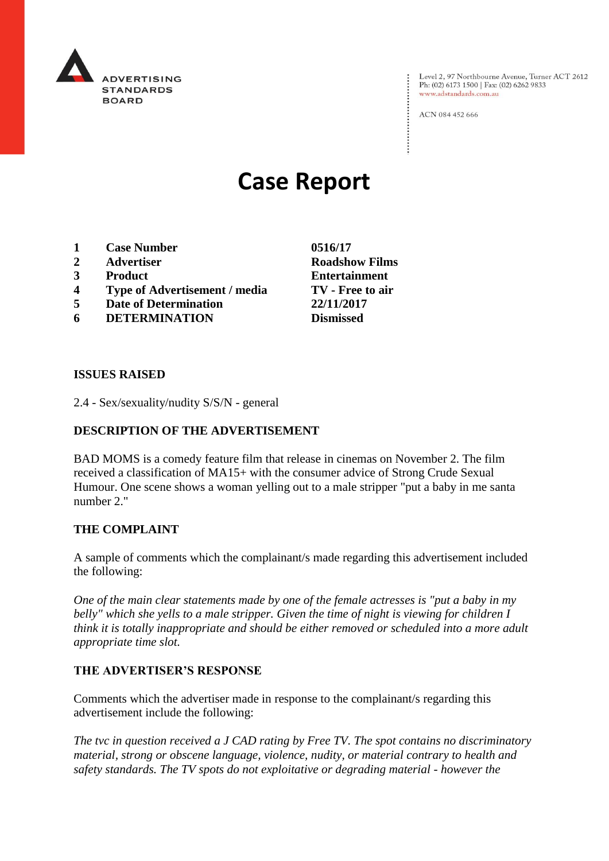

Level 2, 97 Northbourne Avenue, Turner ACT 2612<br>Ph: (02) 6173 1500 | Fax: (02) 6262 9833 www.adstandards.com.au

ACN 084 452 666

# **Case Report**

- **1 Case Number 0516/17**
- **2 Advertiser Roadshow Films**
- 
- **4 Type of Advertisement / media TV - Free to air**
- **5 Date of Determination 22/11/2017**
- **6 DETERMINATION**

**3 Product Entertainment**

#### **ISSUES RAISED**

2.4 - Sex/sexuality/nudity S/S/N - general

### **DESCRIPTION OF THE ADVERTISEMENT**

BAD MOMS is a comedy feature film that release in cinemas on November 2. The film received a classification of MA15+ with the consumer advice of Strong Crude Sexual Humour. One scene shows a woman yelling out to a male stripper "put a baby in me santa number 2."

#### **THE COMPLAINT**

A sample of comments which the complainant/s made regarding this advertisement included the following:

*One of the main clear statements made by one of the female actresses is "put a baby in my belly" which she yells to a male stripper. Given the time of night is viewing for children I think it is totally inappropriate and should be either removed or scheduled into a more adult appropriate time slot.*

#### **THE ADVERTISER'S RESPONSE**

Comments which the advertiser made in response to the complainant/s regarding this advertisement include the following:

*The tvc in question received a J CAD rating by Free TV. The spot contains no discriminatory material, strong or obscene language, violence, nudity, or material contrary to health and safety standards. The TV spots do not exploitative or degrading material - however the*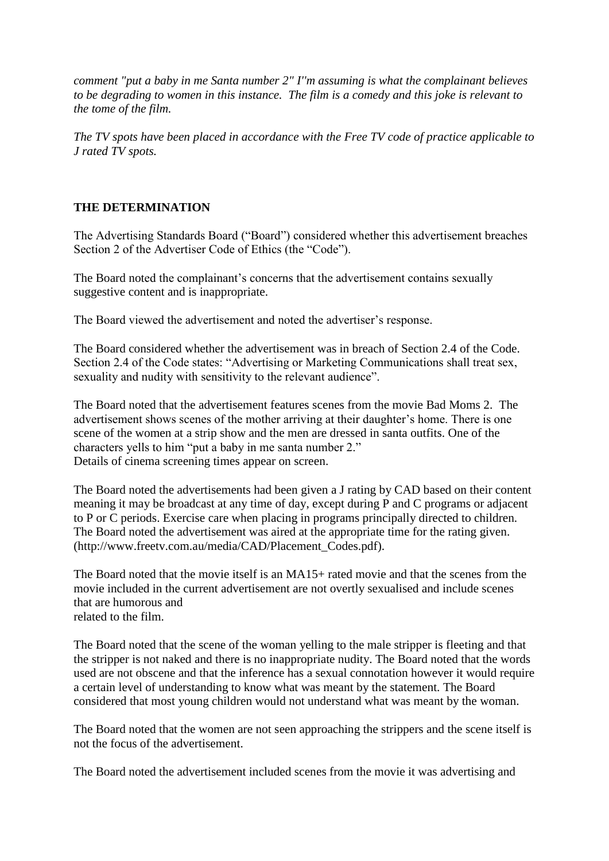*comment "put a baby in me Santa number 2" I''m assuming is what the complainant believes to be degrading to women in this instance. The film is a comedy and this joke is relevant to the tome of the film.*

*The TV spots have been placed in accordance with the Free TV code of practice applicable to J rated TV spots.*

## **THE DETERMINATION**

The Advertising Standards Board ("Board") considered whether this advertisement breaches Section 2 of the Advertiser Code of Ethics (the "Code").

The Board noted the complainant's concerns that the advertisement contains sexually suggestive content and is inappropriate.

The Board viewed the advertisement and noted the advertiser's response.

The Board considered whether the advertisement was in breach of Section 2.4 of the Code. Section 2.4 of the Code states: "Advertising or Marketing Communications shall treat sex, sexuality and nudity with sensitivity to the relevant audience".

The Board noted that the advertisement features scenes from the movie Bad Moms 2. The advertisement shows scenes of the mother arriving at their daughter's home. There is one scene of the women at a strip show and the men are dressed in santa outfits. One of the characters yells to him "put a baby in me santa number 2." Details of cinema screening times appear on screen.

The Board noted the advertisements had been given a J rating by CAD based on their content meaning it may be broadcast at any time of day, except during P and C programs or adjacent to P or C periods. Exercise care when placing in programs principally directed to children. The Board noted the advertisement was aired at the appropriate time for the rating given. (http://www.freetv.com.au/media/CAD/Placement\_Codes.pdf).

The Board noted that the movie itself is an MA15+ rated movie and that the scenes from the movie included in the current advertisement are not overtly sexualised and include scenes that are humorous and related to the film.

The Board noted that the scene of the woman yelling to the male stripper is fleeting and that the stripper is not naked and there is no inappropriate nudity. The Board noted that the words used are not obscene and that the inference has a sexual connotation however it would require a certain level of understanding to know what was meant by the statement. The Board considered that most young children would not understand what was meant by the woman.

The Board noted that the women are not seen approaching the strippers and the scene itself is not the focus of the advertisement.

The Board noted the advertisement included scenes from the movie it was advertising and